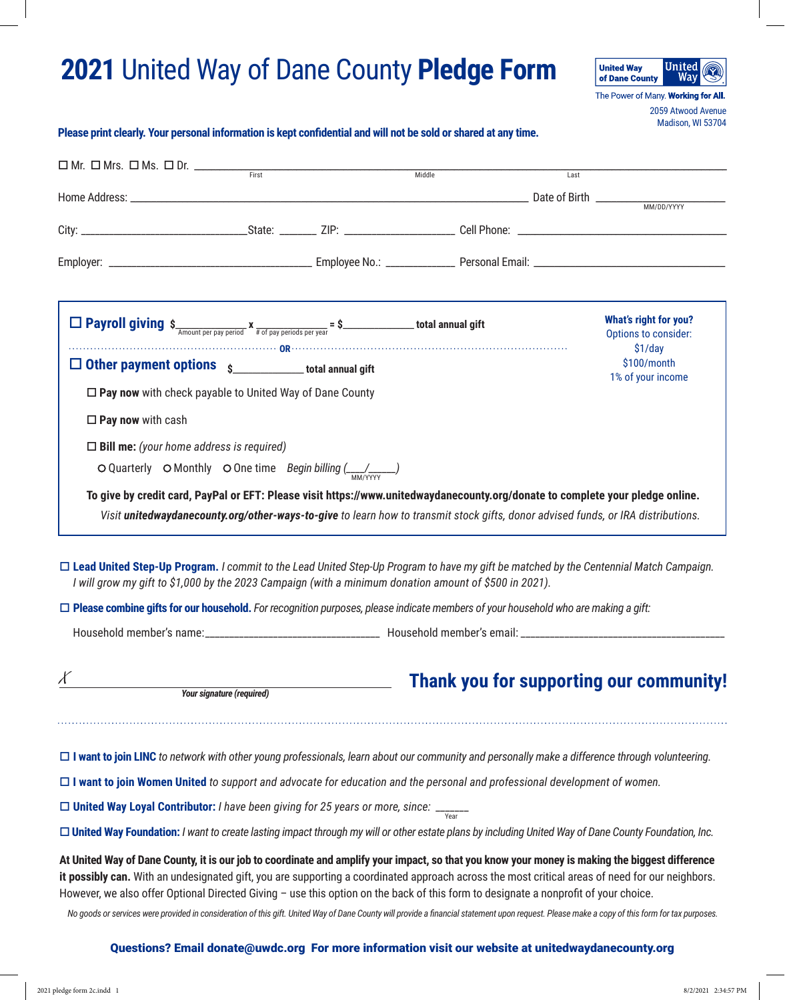## **2021** United Way of Dane County **Pledge Form**



2059 Atwood Avenue Madison, WI 53704

## **Please print clearly. Your personal information is kept confidential and will not be sold or shared at any time.**

|                                                                                                                                                                                                                                                                                                                                                                                                                                                                                                                                                                                                                                             |  | Middle | Last |                                                      |
|---------------------------------------------------------------------------------------------------------------------------------------------------------------------------------------------------------------------------------------------------------------------------------------------------------------------------------------------------------------------------------------------------------------------------------------------------------------------------------------------------------------------------------------------------------------------------------------------------------------------------------------------|--|--------|------|------------------------------------------------------|
|                                                                                                                                                                                                                                                                                                                                                                                                                                                                                                                                                                                                                                             |  |        |      |                                                      |
|                                                                                                                                                                                                                                                                                                                                                                                                                                                                                                                                                                                                                                             |  |        |      |                                                      |
|                                                                                                                                                                                                                                                                                                                                                                                                                                                                                                                                                                                                                                             |  |        |      |                                                      |
|                                                                                                                                                                                                                                                                                                                                                                                                                                                                                                                                                                                                                                             |  |        |      |                                                      |
| <b>D</b> Payroll giving $\frac{1}{\sigma} \sum_{\text{Amount per pay period}} x_{\frac{1}{\pi} \text{ of pay periods per year}} = \frac{1}{\sigma}$                                                                                                                                                                                                                                                                                                                                                                                                                                                                                         |  |        |      | <b>What's right for you?</b><br>Options to consider: |
| $\Box$ Other payment options $\Box$ total annual gift                                                                                                                                                                                                                                                                                                                                                                                                                                                                                                                                                                                       |  |        |      | \$1/day<br>\$100/month                               |
| $\Box$ Pay now with check payable to United Way of Dane County                                                                                                                                                                                                                                                                                                                                                                                                                                                                                                                                                                              |  |        |      | 1% of your income                                    |
| $\square$ Pay now with cash                                                                                                                                                                                                                                                                                                                                                                                                                                                                                                                                                                                                                 |  |        |      |                                                      |
| $\Box$ Bill me: (your home address is required)                                                                                                                                                                                                                                                                                                                                                                                                                                                                                                                                                                                             |  |        |      |                                                      |
| O Quarterly O Monthly O One time Begin billing $\frac{1}{\frac{M}{M}$                                                                                                                                                                                                                                                                                                                                                                                                                                                                                                                                                                       |  |        |      |                                                      |
| To give by credit card, PayPal or EFT: Please visit https://www.unitedwaydanecounty.org/donate to complete your pledge online.<br>Visit unitedwaydanecounty.org/other-ways-to-give to learn how to transmit stock gifts, donor advised funds, or IRA distributions.                                                                                                                                                                                                                                                                                                                                                                         |  |        |      |                                                      |
| □ Lead United Step-Up Program. I commit to the Lead United Step-Up Program to have my gift be matched by the Centennial Match Campaign.<br>I will grow my gift to \$1,000 by the 2023 Campaign (with a minimum donation amount of \$500 in 2021).                                                                                                                                                                                                                                                                                                                                                                                           |  |        |      |                                                      |
| $\Box$ Please combine gifts for our household. For recognition purposes, please indicate members of your household who are making a gift:                                                                                                                                                                                                                                                                                                                                                                                                                                                                                                   |  |        |      |                                                      |
|                                                                                                                                                                                                                                                                                                                                                                                                                                                                                                                                                                                                                                             |  |        |      |                                                      |
| Κ<br>Your signature (required)                                                                                                                                                                                                                                                                                                                                                                                                                                                                                                                                                                                                              |  |        |      | <b>Thank you for supporting our community!</b>       |
| $\Box$ I want to join LINC to network with other young professionals, learn about our community and personally make a difference through volunteering.                                                                                                                                                                                                                                                                                                                                                                                                                                                                                      |  |        |      |                                                      |
| $\Box$ I want to join Women United to support and advocate for education and the personal and professional development of women.                                                                                                                                                                                                                                                                                                                                                                                                                                                                                                            |  |        |      |                                                      |
| □ United Way Loyal Contributor: <i>I have been giving for 25 years or more, since</i> : $\frac{1}{\sqrt{2\pi}}$                                                                                                                                                                                                                                                                                                                                                                                                                                                                                                                             |  |        |      |                                                      |
| □ United Way Foundation: I want to create lasting impact through my will or other estate plans by including United Way of Dane County Foundation, Inc.                                                                                                                                                                                                                                                                                                                                                                                                                                                                                      |  |        |      |                                                      |
| At United Way of Dane County, it is our job to coordinate and amplify your impact, so that you know your money is making the biggest difference<br>it possibly can. With an undesignated gift, you are supporting a coordinated approach across the most critical areas of need for our neighbors.<br>However, we also offer Optional Directed Giving - use this option on the back of this form to designate a nonprofit of your choice.<br>No goods or services were provided in consideration of this gift. United Way of Dane County will provide a financial statement upon request. Please make a copy of this form for tax purposes. |  |        |      |                                                      |
| Questions? Email donate@uwdc.org For more information visit our website at unitedwaydanecounty.org                                                                                                                                                                                                                                                                                                                                                                                                                                                                                                                                          |  |        |      |                                                      |